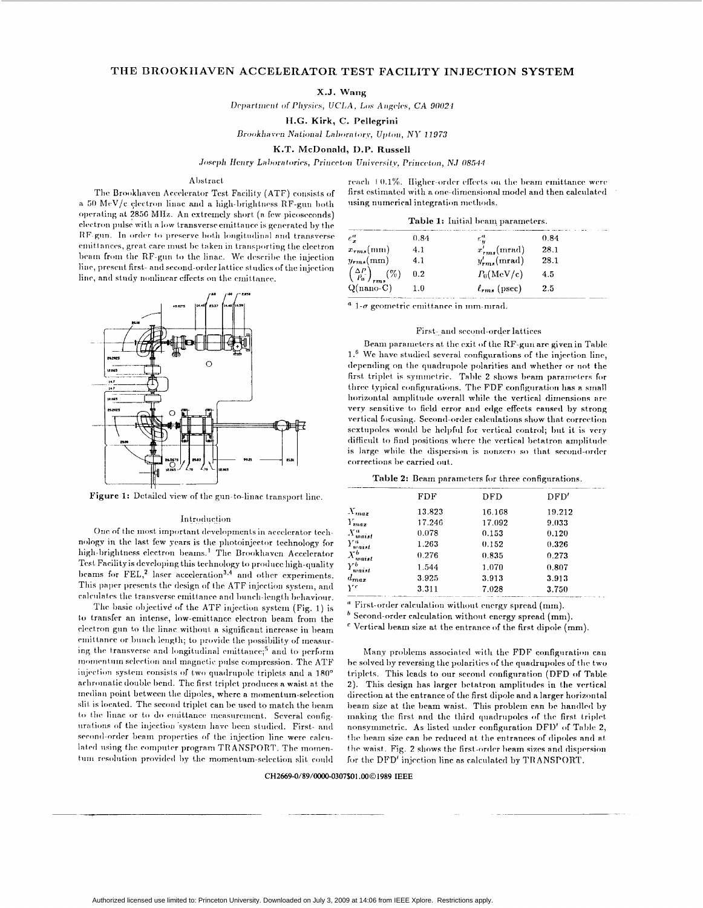# THE BROOKHAVEN ACCELERATOR TEST FACILITY INJECTION SYSTEM

X.J. Wang

Department of Physics, UCLA, Los Angeles, CA 90024

H.G. Kirk, C. Pellegrini

Brookhaven National Laboratory, Upton, NY 11973

K.T. McDonald, D.P. Russell

Joseph Henry Laboratories, Princeton University, Princeton, NJ 08544

## Abstract

The Brookhaven Accelerator Test Facility (ATF) consists of a 50 MeV/c electron linac and a high-brightness RF-gun both operating at 2856 MHz. An extremely short (a few picoseconds) electron pulse with a low transverse emittance is generated by the RF-gun. In order to preserve both longitudinal and transverse emittances, great care must be taken in transporting the electron beam from the RF-gun to the linac. We describe the injection line, present first- and second-order lattice studies of the injection line, and study nonlinear effects on the emittance.



Figure 1: Detailed view of the gun-to-linac transport line.

### Introduction

One of the most important developments in accelerator technology in the last few years is the photoinjector technology for high-brightness electron beams.<sup>1</sup> The Brookhaven Accelerator Test Facility is developing this technology to produce high-quality beams for FEL,<sup>2</sup> laser acceleration<sup>3,4</sup> and other experiments. This paper presents the design of the ATF injection system, and calculates the transverse emittance and bunch-length behaviour.

The basic objective of the ATF injection system (Fig. 1) is to transfer an intense, low-emittance electron beam from the electron gun to the linac without a significant increase in beam emittance or bunch length; to provide the possibility of measuring the transverse and longitudinal emittance;<sup>5</sup> and to perform momentum selection and magnetic pulse compression. The ATF injection system consists of two quadrupole triplets and a 180° achromatic double bend. The first triplet produces a waist at the median point between the dipoles, where a momentum-selection slit is located. The second triplet can be used to match the beam to the linac or to do emittance measurement. Several configurations of the injection system have been studied. First- and second-order beam properties of the injection line were calculated using the computer program TRANSPORT. The momentum resolution provided by the momentum-selection slit could

reach  $+0.1\%$ . Higher-order effects on the beam emittance were first estimated with a one-dimensional model and then calculated using numerical integration methods.

Table 1: Initial beam parameters.

| $\epsilon_{\tau}^{a}$                                                | 0.84 | $\epsilon_u^n$      | 0.84 |
|----------------------------------------------------------------------|------|---------------------|------|
| $x_{rms}(mm)$                                                        | 4.1  | $x'_{rms}$ (mrad)   | 28.1 |
| $y_{rms}(mm)$                                                        | 4.1  | $y'_{rms}$ (mrad)   | 28.1 |
| $\frac{\left(\frac{\Delta P}{P_0}\right)_{rms}}{Q{\text{(nano-C)}}}$ | 0.2  | $P_0(MeV/c)$        | 4.5  |
|                                                                      | 1.0  | $\ell_{rms}$ (psec) | 2.5  |

 $a$  1- $\sigma$  geometric emittance in mm-mrad.

## First- and second-order lattices

Beam parameters at the exit of the RF-gun are given in Table 1.<sup>6</sup> We have studied several configurations of the injection line, depending on the quadrupole polarities and whether or not the first triplet is symmetric. Table 2 shows beam parameters for three typical configurations. The FDF configuration has a small horizontal amplitude overall while the vertical dimensions are very sensitive to field error and edge effects caused by strong vertical focusing. Second-order calculations show that correction sextupoles would be helpful for vertical control; but it is very difficult to find positions where the vertical betatron amplitude is large while the dispersion is nonzero so that second-order corrections be carried out.

|  |  | <b>Table 2:</b> Beam parameters for three configurations. |  |  |  |
|--|--|-----------------------------------------------------------|--|--|--|
|--|--|-----------------------------------------------------------|--|--|--|

| FDF    | DFD    | DFD'   |
|--------|--------|--------|
| 13.823 | 16.168 | 19.212 |
| 17.246 | 17.092 | 9.033  |
| 0.078  | 0.153  | 0.120  |
| 1.263  | 0.152  | 0.326  |
| 0.276  | 0.835  | 0.273  |
| 1.544  | 1.070  | 0.807  |
| 3.925  | 3.913  | 3.913  |
| 3.311  | 7.028  | 3.750  |
|        |        |        |

<sup>a</sup> First-order calculation without energy spread (mm).

 $<sup>b</sup>$  Second-order calculation without energy spread (mm).</sup>

<sup>c</sup> Vertical beam size at the entrance of the first dipole (mm).

Many problems associated with the FDF configuration can be solved by reversing the polarities of the quadrupoles of the two triplets. This leads to our second configuration (DFD of Table 2). This design has larger betatron amplitudes in the vertical direction at the entrance of the first dipole and a larger horizontal beam size at the beam waist. This problem can be handled by making the first and the third quadrupoles of the first triplet nonsymmetric. As listed under configuration DFD' of Table 2. the beam size can be reduced at the entrances of dipoles and at the waist. Fig. 2 shows the first-order beam sizes and dispersion for the DFD' injection line as calculated by TRANSPORT.

# CH2669-0/89/0000-0307\$01.00 01989 IEEE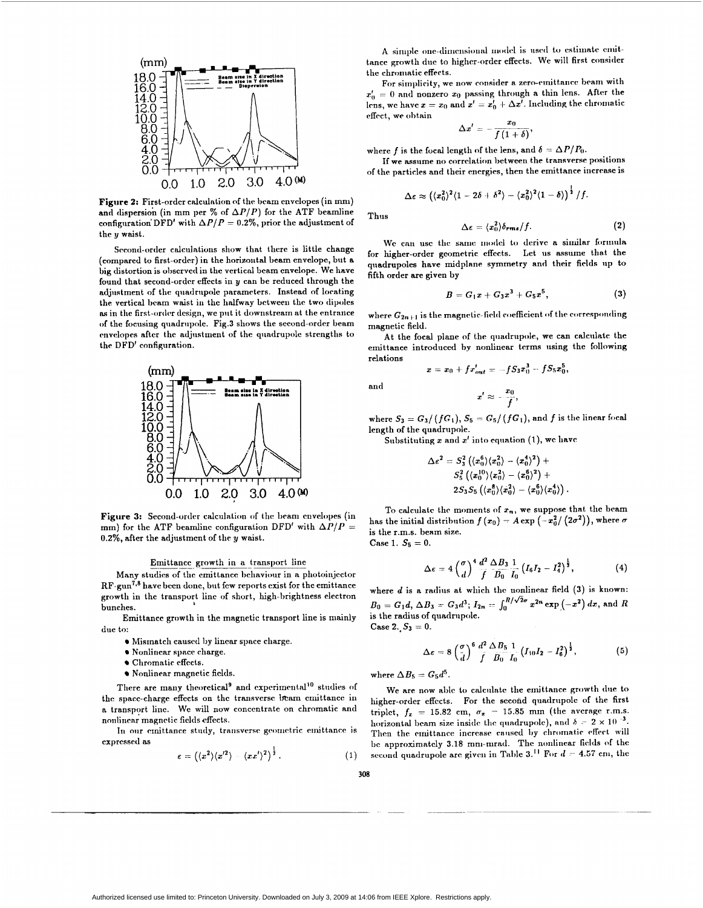

Figure 2: First-order calculation of the beam envelopes (in mm) and dispersion (in mm per  $\%$  of  $\Delta P/P$ ) for the ATF beamline configuration DFD' with  $\Delta P/P = 0.2\%$ , prior the adjustment of the **y** waist.

Second-order calculations show that there is little change (compared to first-order) in the horizontal beam envelope, but a big distortion is **o1)scrvcd** in the vertical beam cnvelope. We **have**  found that second-ordrr effects in **y can** be reduced through the adjustment of the quadrupole parameters. Instead of locating the vertical beam waist in the halfway between the two dipoles as in the first-order design, we put it downstream at the entrance of the focusing quadrupole. Fig.3 shows the second-order beam envelopes after the adjustment of the quadrupole strengths to the DFD' configuration.



**Figure 3:** Second-order calculation of the beam envelopes (in mm) for the ATF beamline configuration DFD' with  $\Delta P/P =$ 0.2%, after the adjustment of the y waist.

#### Emittance growth in a transport line

Many studies of the emittance behaviour in a photoinjector  $RF-gun^{7,8}$  have been done, but few reports exist for the emittance growth in the transport line of short, high-brightness electron bunches. **b** 

Emittance growth in the magnetic transport line is mainly due to:

- Mismatch caused by linear space charge.
- $\bullet$  Nonlinear space charge.
- Chromatic effects.
- Nonlinear magnetic fields.

There are many theoretical<sup>9</sup> and experimental<sup>10</sup> studies of the space-charge effects on the transverse beam emittance in a transport line. We will now concentrate on chromatic and nonlinear magnetic fields effects.

In our emittance study, transverse geometric emittance is expressed **as** 

$$
\varepsilon = \left( \langle x^2 \rangle \langle x^{\prime 2} \rangle - \langle x x^{\prime} \rangle^2 \right)^{\frac{1}{2}}.
$$
 (1)

A simple one-dimensional model is used to estimate emittance growth due to higher-order effects. We will first consider the chromatic effects.

For simplicity, we now consider a zero-emittance beam with  $x'_0 = 0$  and nonzero  $x_0$  passing through a thin lens. After the lens, we have  $x = x_0$  and  $x' = x'_0 + \Delta x'$ . Including the chromatic effect, we obtain

$$
\Delta x'=-\frac{x_0}{f\left(1+\delta\right)},
$$

where *f* is the focal length of the lens, and  $\delta = \Delta P/P_0$ .

If we assume no correlation between the transverse positions of the particles **and** their enrrgies, then the emittance increase is

$$
\Delta \epsilon \approx \left( \langle x_0^2 \rangle^2 \langle 1 - 2\delta + \delta^2 \rangle - \langle x_0^2 \rangle^2 \langle 1 - \delta \rangle \right)^{\frac{1}{2}} / f.
$$

Thus

$$
\Delta \epsilon = \langle x_0^2 \rangle \delta_{rms} / f. \tag{2}
$$

We can use the same model to derive a similar formula for higher-order geometric effects. Let **us** assume that the qiiadrupoles have midplane symmetry **and** their fields **lip** to fifth order are given by

$$
B = G_1 x + G_3 x^3 + G_5 x^5, \tag{3}
$$

where  $G_{2n+1}$  is the magnetic-field coefficient of the corresponding magnetic field.

At the focal plane of the quadrupole, we can calculate the emittance introduced **by** nonlinear trrms using the following relations

$$
x = x_0 + fx'_{out} = -fS_3x_0^3 - fS_5x_0^3,
$$
  

$$
x' \approx -\frac{x_0}{f},
$$

and

$$
x' \approx -\frac{x_0}{f},
$$

where  $S_3 = G_3 / (fG_1)$ ,  $S_5 = G_5 / (fG_1)$ , and *f* is the linear focal length of the quadrupole.

Substituting  $x$  and  $x'$  into equation (1), we have

$$
\begin{aligned} \Delta \epsilon^2 &= S_3^2 \left( \langle x_0^6 \rangle \langle x_0^2 \rangle - \langle x_0^4 \rangle^2 \right) + \\ & S_5^2 \left( \langle x_0^{10} \rangle \langle x_0^2 \rangle - \langle x_0^6 \rangle^2 \right) + \\ & 2 S_3 S_5 \left( \langle x_0^8 \rangle \langle x_0^2 \rangle - \langle x_0^6 \rangle \langle x_0^4 \rangle \right). \end{aligned}
$$

To calculate the moments of  $x_n$ , we suppose that the beam has the initial distribution  $f(x_0) = A \exp(-x_0^2/(2\sigma^2))$ , where  $\sigma$ is the r.m.s. beam size.  $Case 1. S_5 = 0.$ 

$$
\Delta \epsilon = 4 \left( \frac{\sigma}{d} \right)^4 \frac{d^2}{f} \frac{\Delta B_3}{B_0} \frac{1}{I_0} \left( I_6 I_2 - I_4^2 \right)^{\frac{1}{2}},
$$

**(4)** 

where  $d$  is a radius at which the nonlinear field  $(3)$  is known:  $B_0 = G_1 d$ ,  $\Delta B_3 = G_3 d^3$ ;  $I_{2n} = \int_0^{R/\sqrt{2\sigma}} x^{2n} \exp(-x^2) dx$ , and R is the radius of quadrupole.

 $Case 2, S_3 = 0.$ 

$$
\Delta \epsilon = 8 \left( \frac{\sigma}{d} \right)^6 \frac{d^2}{f} \frac{\Delta B_5}{B_0} \frac{1}{I_0} \left( I_{10} I_2 - I_6^2 \right)^{\frac{1}{2}}, \tag{5}
$$

where  $\Delta B_5 = G_5 d^5$ .

We are now **ablr to** calciilatr the emittance growth **tliie** to higher-order effects. For the second quadrupole of the first triplet,  $f_x = 15.82$  cm,  $\sigma_x = 15.85$  mm (the average r.m.s. horizontal beam size inside the quadrupole), and  $\delta = 2 \times 10^{-3}$ . Then the emittance increase caused by chromatic effect will be approximately 3.18 mm-mrad. The nonlinear fields of the second quadrupole are given in Table 3.<sup>11</sup> For  $d = 4.57$  cm, the

**308**